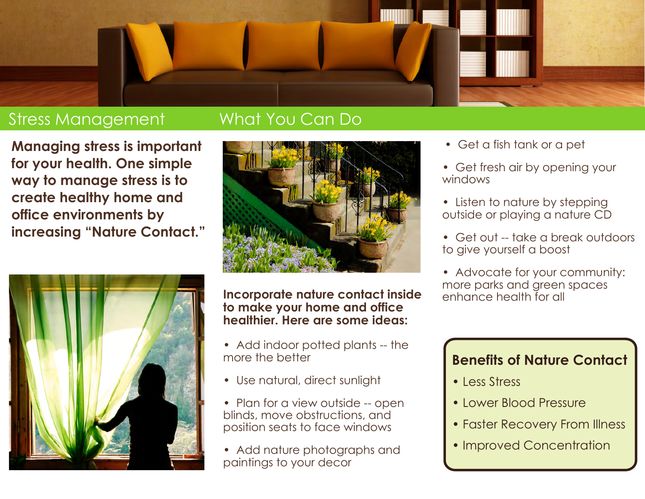

#### Stress Management

#### What You Can Do

**Managing stress is important for your health. One simple way to manage stress is to create healthy home and office environments by increasing "Nature Contact."** 





**Incorporate nature contact inside to make your home and office healthier. Here are some ideas:**

- Add indoor potted plants -- the more the better
- Use natural, direct sunlight
- Plan for a view outside -- open blinds, move obstructions, and position seats to face windows
- Add nature photographs and paintings to your decor
- Get a fish tank or a pet
- Get fresh air by opening your windows
- Listen to nature by stepping outside or playing a nature CD
- Get out -- take a break outdoors to give yourself a boost
- Advocate for your community: more parks and green spaces enhance health for all

#### **Benefits of Nature Contact**

- Less Stress
- Lower Blood Pressure
- Faster Recovery From Illness
- Improved Concentration